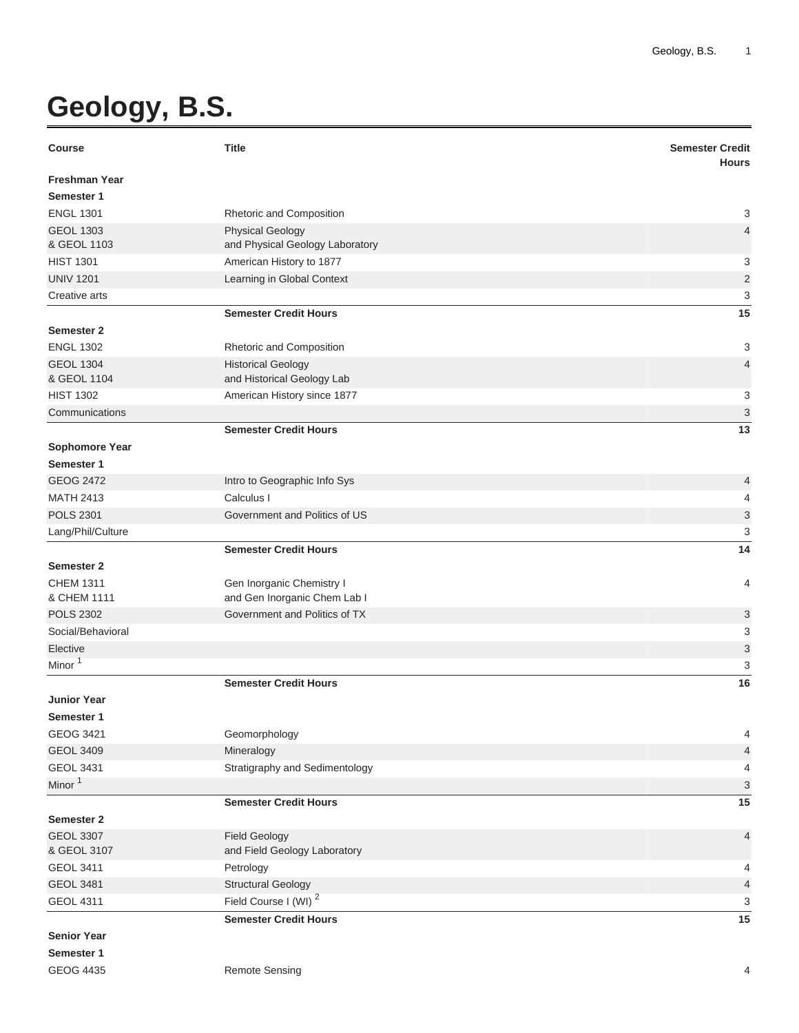## **Geology, B.S.**

| <b>Course</b>         | <b>Title</b>                     | <b>Semester Credit</b><br><b>Hours</b> |
|-----------------------|----------------------------------|----------------------------------------|
| <b>Freshman Year</b>  |                                  |                                        |
| Semester 1            |                                  |                                        |
| <b>ENGL 1301</b>      | Rhetoric and Composition         | 3                                      |
| <b>GEOL 1303</b>      | <b>Physical Geology</b>          | $\overline{4}$                         |
| & GEOL 1103           | and Physical Geology Laboratory  |                                        |
| <b>HIST 1301</b>      | American History to 1877         | 3                                      |
| <b>UNIV 1201</b>      | Learning in Global Context       | $\overline{2}$                         |
| Creative arts         |                                  | 3                                      |
|                       | <b>Semester Credit Hours</b>     | 15                                     |
| Semester 2            |                                  |                                        |
| <b>ENGL 1302</b>      | Rhetoric and Composition         | 3                                      |
| <b>GEOL 1304</b>      | <b>Historical Geology</b>        | $\overline{4}$                         |
| & GEOL 1104           | and Historical Geology Lab       |                                        |
| <b>HIST 1302</b>      | American History since 1877      | 3                                      |
| Communications        |                                  | $\ensuremath{\mathsf{3}}$              |
|                       | <b>Semester Credit Hours</b>     | 13                                     |
| <b>Sophomore Year</b> |                                  |                                        |
| Semester 1            |                                  |                                        |
| <b>GEOG 2472</b>      | Intro to Geographic Info Sys     | 4                                      |
| <b>MATH 2413</b>      | Calculus I                       | 4                                      |
| <b>POLS 2301</b>      | Government and Politics of US    | 3                                      |
| Lang/Phil/Culture     |                                  | 3                                      |
|                       | <b>Semester Credit Hours</b>     | 14                                     |
| Semester 2            |                                  |                                        |
| <b>CHEM 1311</b>      | Gen Inorganic Chemistry I        | 4                                      |
| & CHEM 1111           | and Gen Inorganic Chem Lab I     |                                        |
| <b>POLS 2302</b>      | Government and Politics of TX    | 3                                      |
| Social/Behavioral     |                                  | 3                                      |
| Elective              |                                  | 3                                      |
| Minor <sup>1</sup>    |                                  | 3                                      |
|                       | <b>Semester Credit Hours</b>     | 16                                     |
| <b>Junior Year</b>    |                                  |                                        |
| Semester 1            |                                  |                                        |
| GEOG 3421             | Geomorphology                    | 4                                      |
| <b>GEOL 3409</b>      | Mineralogy                       | 4                                      |
| <b>GEOL 3431</b>      | Stratigraphy and Sedimentology   | 4                                      |
| Minor <sup>1</sup>    |                                  | $\ensuremath{\mathsf{3}}$              |
|                       | <b>Semester Credit Hours</b>     | 15                                     |
| Semester 2            |                                  |                                        |
| <b>GEOL 3307</b>      | <b>Field Geology</b>             | 4                                      |
| & GEOL 3107           | and Field Geology Laboratory     |                                        |
| <b>GEOL 3411</b>      | Petrology                        | 4                                      |
| <b>GEOL 3481</b>      | <b>Structural Geology</b>        | 4                                      |
| <b>GEOL 4311</b>      | Field Course I (WI) <sup>2</sup> | 3                                      |
|                       | <b>Semester Credit Hours</b>     | 15                                     |
| <b>Senior Year</b>    |                                  |                                        |
| Semester 1            |                                  |                                        |
| <b>GEOG 4435</b>      | <b>Remote Sensing</b>            | 4                                      |